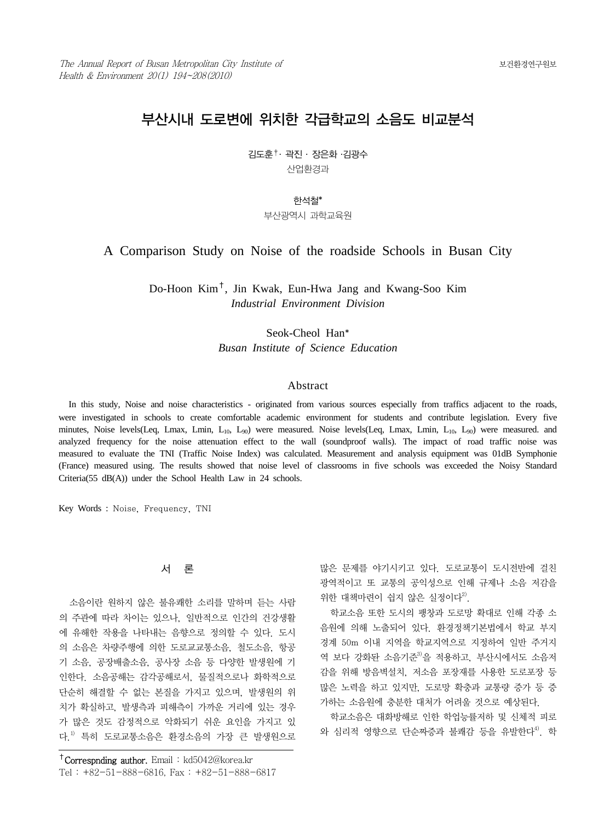# 부산시내 도로변에 위치한 각급학교의 소음도 비교분석

김도훈†․ 곽진 ․ 장은화 ․김광수 산업환경과

한석철\*

부산광역시 과학교육원

A Comparison Study on Noise of the roadside Schools in Busan City

Do-Hoon Kim†, Jin Kwak, Eun-Hwa Jang and Kwang-Soo Kim *Industrial Environment Division*

> Seok-Cheol Han\* *Busan Institute of Science Education*

#### Abstract

 In this study, Noise and noise characteristics - originated from various sources especially from traffics adjacent to the roads, were investigated in schools to create comfortable academic environment for students and contribute legislation. Every five minutes, Noise levels(Leq, Lmax, Lmin,  $L_{10}$ , L<sub>90</sub>) were measured. Noise levels(Leq, Lmax, Lmin,  $L_{10}$ , L<sub>90</sub>) were measured. and analyzed frequency for the noise attenuation effect to the wall (soundproof walls). The impact of road traffic noise was measured to evaluate the TNI (Traffic Noise Index) was calculated. Measurement and analysis equipment was 01dB Symphonie (France) measured using. The results showed that noise level of classrooms in five schools was exceeded the Noisy Standard Criteria(55 dB(A)) under the School Health Law in 24 schools.

Key Words : Noise, Frequency, TNI

## 서 론

소음이란 원하지 않은 불유쾌한 소리를 말하며 듣는 사람 의 주관에 따라 차이는 있으나, 일반적으로 인간의 건강생활 에 유해한 작용을 나타내는 음향으로 정의할 수 있다. 도시 의 소음은 차량주행에 의한 도로교교통소음, 철도소음, 항공 기 소음, 공장배출소음, 공사장 소음 등 다양한 발생원에 기 인한다. 소음공해는 감각공해로서, 물질적으로나 화학적으로 단순히 해결할 수 없는 본질을 가지고 있으며, 발생원의 위 치가 확실하고, 발생측과 피해측이 가까운 거리에 있는 경우 가 많은 것도 감정적으로 악화되기 쉬운 요인을 가지고 있 다.1) 특히 도로교통소음은 환경소음의 가장 큰 발생원으로

많은 문제를 야기시키고 있다. 도로교통이 도시전반에 걸친 광역적이고 또 교통의 공익성으로 인해 규제나 소음 저감을 위한 대책마련이 쉽지 않은 실정이다<sup>2)</sup>.

학교소음 또한 도시의 팽창과 도로망 확대로 인해 각종 소 음원에 의해 노출되어 있다. 환경정책기본법에서 학교 부지 경계 50m 이내 지역을 학교지역으로 지정하여 일반 주거지 역 보다 강화돤 소음기준<sup>3)</sup>을 적용하고, 부산시에서도 소음저 감을 위해 방음벽설치, 저소음 포장재를 사용한 도로포장 등 많은 노력을 하고 있지만, 도로망 확충과 교통량 증가 등 증 가하는 소음원에 충분한 대처가 어려울 것으로 예상된다.

학교소음은 대화방해로 인한 학업능률저하 및 신체적 피로 와 심리적 영향으로 단순짜증과 불쾌감 등을 유발한다<sup>4)</sup>. 학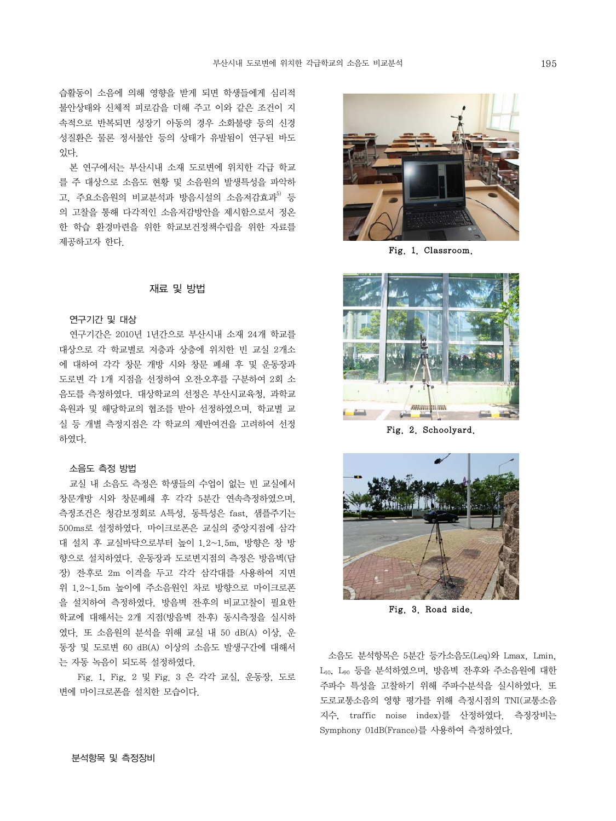습활동이 소음에 의해 영향을 받게 되면 학생들에게 심리적 불안상태와 신체적 피로감을 더해 주고 이와 같은 조건이 지 속적으로 반복되면 성장기 아동의 경우 소화불량 등의 신경 성질환은 물론 정서불안 등의 상태가 유발됨이 연구된 바도 있다.

본 연구에서는 부산시내 소재 도로변에 위치한 각급 학교 를 주 대상으로 소음도 현황 및 소음원의 발생특성을 파악하 고, 주요소음원의 비교분석과 방음시설의 소음저감효과<sup>5)</sup> 등 의 고찰을 통해 다각적인 소음저감방안을 제시함으로서 정온 한 학습 환경마련을 위한 학교보건정책수립을 위한 자료를 제공하고자 한다.

## 재료 및 방법

#### 연구기간 및 대상

연구기간은 2010년 1년간으로 부산시내 소재 24개 학교를 대상으로 각 학교별로 저층과 상층에 위치한 빈 교실 2개소 에 대하여 각각 창문 개방 시와 창문 폐쇄 후 및 운동장과 도로변 각 1개 지점을 선정하여 오전․오후를 구분하여 2회 소 음도를 측정하였다. 대상학교의 선정은 부산시교육청, 과학교 육원과 및 해당학교의 협조를 받아 선정하였으며, 학교별 교 실 등 개별 측정지점은 각 학교의 제반여건을 고려하여 선정 하였다.

#### 소음도 측정 방법

교실 내 소음도 측정은 학생들의 수업이 없는 빈 교실에서 창문개방 시와 창문폐쇄 후 각각 5분간 연속측정하였으며, 측정조건은 청감보정회로 A특성, 동특성은 fast, 샘플주기는 500ms로 설정하였다. 마이크로폰은 교실의 중앙지점에 삼각 대 설치 후 교실바닥으로부터 높이 1.2~1.5m, 방향은 창 방 향으로 설치하였다. 운동장과 도로변지점의 측정은 방음벽(담 장) 전․후로 2m 이격을 두고 각각 삼각대를 사용하여 지면 위 1.2~1.5m 높이에 주소음원인 차로 방향으로 마이크로폰 을 설치하여 측정하였다. 방음벽 전․후의 비교고찰이 필요한 학교에 대해서는 2개 지점(방음벽 전․후) 동시측정을 실시하 였다. 또 소음원의 분석을 위해 교실 내 50 dB(A) 이상, 운 동장 및 도로변 60 dB(A) 이상의 소음도 발생구간에 대해서 는 자동 녹음이 되도록 설정하였다.

 Fig. 1, Fig. 2 및 Fig. 3 은 각각 교실, 운동장, 도로 변에 마이크로폰을 설치한 모습이다.



Fig. 1. Classroom.



Fig. 2. Schoolyard.



Fig. 3. Road side.

 소음도 분석항목은 5분간 등가소음도(Leq)와 Lmax, Lmin, L10, L90 등을 분석하였으며, 방음벽 전․후와 주소음원에 대한 주파수 특성을 고찰하기 위해 주파수분석을 실시하였다. 또 도로교통소음의 영향 평가를 위해 측정시점의 TNI(교통소음 지수, traffic noise index)를 산정하였다. 측정장비는 Symphony 01dB(France)를 사용하여 측정하였다.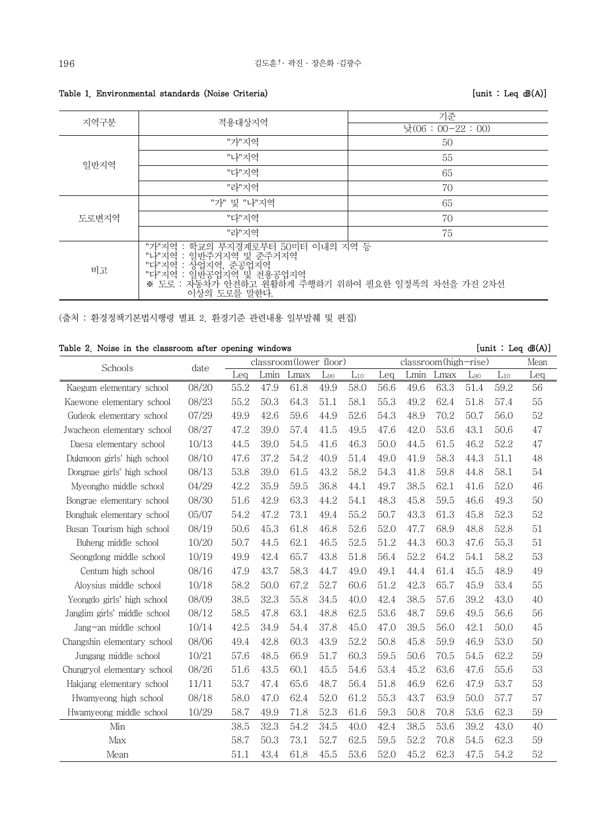Table 1. Environmental standards (Noise Criteria) [unit : Leq dB(A)]

| 지역구분  | 적용대상지역                                                                                                                                                                                                                                                           | 기준                |  |  |  |  |
|-------|------------------------------------------------------------------------------------------------------------------------------------------------------------------------------------------------------------------------------------------------------------------|-------------------|--|--|--|--|
|       |                                                                                                                                                                                                                                                                  | 낮 $(06:00-22:00)$ |  |  |  |  |
|       | "가"지역                                                                                                                                                                                                                                                            | 50                |  |  |  |  |
| 일반지역  | "나"지역                                                                                                                                                                                                                                                            | 55                |  |  |  |  |
|       | "다"지역                                                                                                                                                                                                                                                            | 65                |  |  |  |  |
|       | "라"지역                                                                                                                                                                                                                                                            | 70                |  |  |  |  |
|       | "가" 및 "나"지역                                                                                                                                                                                                                                                      | 65                |  |  |  |  |
| 도로변지역 | "다"지역                                                                                                                                                                                                                                                            | 70                |  |  |  |  |
|       | "라"지역                                                                                                                                                                                                                                                            | 75                |  |  |  |  |
| 비고    | "가"지역 : 학교의 부지경계로부터 50미터 이내의 지역 등<br>"니"지역 : 일반주거지영에도 L'니 30~ILI -T데너 ^Tㅋ ㅎ<br>"다"지역 : 상업지역, 준공업지역<br>"다"지역 : 상업지역, 준공업지역<br>"다"지역 : 일반공업지역 및 전용공업지역<br>※ 도로 : 자동차가 안전하고 원활하게 주행하기 위하여 필요한 일정폭의 차선을 가진 2차선<br>※ 도로 : 자동차가 안전하고 원활하게 주행하기 위하여 필요한 일정폭의 차선을 가진 2차선 |                   |  |  |  |  |

(출처 : 환경정책기본법시행령 별표 2. 환경기준 관련내용 일부발췌 및 편집)

|  |  |  |  |  |  | Table 2. Noise in the classroom after opening windows |  |  |  |
|--|--|--|--|--|--|-------------------------------------------------------|--|--|--|
|--|--|--|--|--|--|-------------------------------------------------------|--|--|--|

 ${\tt [unit : Leg~dB(A)]}$ 

| Schools                      | date  |      |      | classroom(lower floor) |          |          |      |      | $classroom(high-rise)$ |          |          | Mean |
|------------------------------|-------|------|------|------------------------|----------|----------|------|------|------------------------|----------|----------|------|
|                              |       | Leg  | Lmin | Lmax                   | $L_{90}$ | $L_{10}$ | Leg  | Lmin | Lmax                   | $L_{90}$ | $L_{10}$ | Leg  |
| Kaegum elementary school     | 08/20 | 55.2 | 47.9 | 61.8                   | 49.9     | 58.0     | 56.6 | 49.6 | 63.3                   | 51.4     | 59.2     | 56   |
| Kaewone elementary school    | 08/23 | 55.2 | 50.3 | 64.3                   | 51.1     | 58.1     | 55.3 | 49.2 | 62.4                   | 51.8     | 57.4     | 55   |
| Gudeok elementary school     | 07/29 | 49.9 | 42.6 | 59.6                   | 44.9     | 52.6     | 54.3 | 48.9 | 70.2                   | 50.7     | 56.0     | 52   |
| Jwacheon elementary school   | 08/27 | 47.2 | 39.0 | 57.4                   | 41.5     | 49.5     | 47.6 | 42.0 | 53.6                   | 43.1     | 50.6     | 47   |
| Daesa elementary school      | 10/13 | 44.5 | 39.0 | 54.5                   | 41.6     | 46.3     | 50.0 | 44.5 | 61.5                   | 46.2     | 52.2     | 47   |
| Dukmoon girls' high school   | 08/10 | 47.6 | 37.2 | 54.2                   | 40.9     | 51.4     | 49.0 | 41.9 | 58.3                   | 44.3     | 51.1     | 48   |
| Dongnae girls' high school   | 08/13 | 53.8 | 39.0 | 61.5                   | 43.2     | 58.2     | 54.3 | 41.8 | 59.8                   | 44.8     | 58.1     | 54   |
| Myeongho middle school       | 04/29 | 42.2 | 35.9 | 59.5                   | 36.8     | 44.1     | 49.7 | 38.5 | 62.1                   | 41.6     | 52.0     | 46   |
| Bongrae elementary school    | 08/30 | 51.6 | 42.9 | 63.3                   | 44.2     | 54.1     | 48.3 | 45.8 | 59.5                   | 46.6     | 49.3     | 50   |
| Bonghak elementary school    | 05/07 | 54.2 | 47.2 | 73.1                   | 49.4     | 55.2     | 50.7 | 43.3 | 61.3                   | 45.8     | 52.3     | 52   |
| Busan Tourism high school    | 08/19 | 50.6 | 45.3 | 61.8                   | 46.8     | 52.6     | 52.0 | 47.7 | 68.9                   | 48.8     | 52.8     | 51   |
| Buheng middle school         | 10/20 | 50.7 | 44.5 | 62.1                   | 46.5     | 52.5     | 51.2 | 44.3 | 60.3                   | 47.6     | 55.3     | 51   |
| Seongdong middle school      | 10/19 | 49.9 | 42.4 | 65.7                   | 43.8     | 51.8     | 56.4 | 52.2 | 64.2                   | 54.1     | 58.2     | 53   |
| Centum high school           | 08/16 | 47.9 | 43.7 | 58.3                   | 44.7     | 49.0     | 49.1 | 44.4 | 61.4                   | 45.5     | 48.9     | 49   |
| Aloysius middle school       | 10/18 | 58.2 | 50.0 | 67.2                   | 52.7     | 60.6     | 51.2 | 42.3 | 65.7                   | 45.9     | 53.4     | 55   |
| Yeongdo girls' high school   | 08/09 | 38.5 | 32.3 | 55.8                   | 34.5     | 40.0     | 42.4 | 38.5 | 57.6                   | 39.2     | 43.0     | 40   |
| Janglim girls' middle school | 08/12 | 58.5 | 47.8 | 63.1                   | 48.8     | 62.5     | 53.6 | 48.7 | 59.6                   | 49.5     | 56.6     | 56   |
| Jang-an middle school        | 10/14 | 42.5 | 34.9 | 54.4                   | 37.8     | 45.0     | 47.0 | 39.5 | 56.0                   | 42.1     | 50.0     | 45   |
| Changshin elementary school  | 08/06 | 49.4 | 42.8 | 60.3                   | 43.9     | 52.2     | 50.8 | 45.8 | 59.9                   | 46.9     | 53.0     | 50   |
| Jungang middle school        | 10/21 | 57.6 | 48.5 | 66.9                   | 51.7     | 60.3     | 59.5 | 50.6 | 70.5                   | 54.5     | 62.2     | 59   |
| Chungryol elementary school  | 08/26 | 51.6 | 43.5 | 60.1                   | 45.5     | 54.6     | 53.4 | 45.2 | 63.6                   | 47.6     | 55.6     | 53   |
| Hakjang elementary school    | 11/11 | 53.7 | 47.4 | 65.6                   | 48.7     | 56.4     | 51.8 | 46.9 | 62.6                   | 47.9     | 53.7     | 53   |
| Hwamyeong high school        | 08/18 | 58.0 | 47.0 | 62.4                   | 52.0     | 61.2     | 55.3 | 43.7 | 63.9                   | 50.0     | 57.7     | 57   |
| Hwamyeong middle school      | 10/29 | 58.7 | 49.9 | 71.8                   | 52.3     | 61.6     | 59.3 | 50.8 | 70.8                   | 53.6     | 62.3     | 59   |
| Min                          |       | 38.5 | 32.3 | 54.2                   | 34.5     | 40.0     | 42.4 | 38.5 | 53.6                   | 39.2     | 43.0     | 40   |
| Max                          |       | 58.7 | 50.3 | 73.1                   | 52.7     | 62.5     | 59.5 | 52.2 | 70.8                   | 54.5     | 62.3     | 59   |
| Mean                         |       | 51.1 | 43.4 | 61.8                   | 45.5     | 53.6     | 52.0 | 45.2 | 62.3                   | 47.5     | 54.2     | 52   |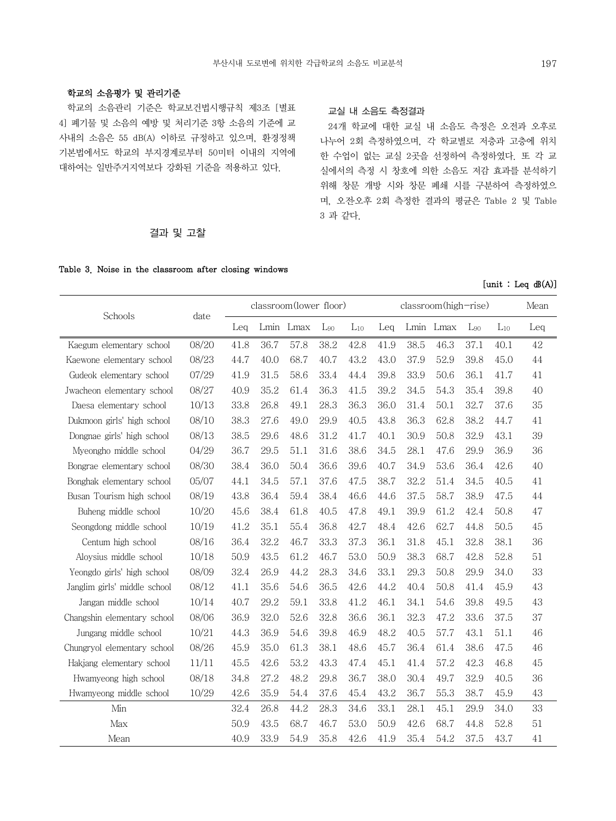# 학교의 소음평가 및 관리기준

 학교의 소음관리 기준은 학교보건법시행규칙 제3조 [별표 4] 폐기물 및 소음의 예방 및 처리기준 3항 소음의 기준에 교 사내의 소음은 55 dB(A) 이하로 규정하고 있으며, 환경정책 기본법에서도 학교의 부지경계로부터 50미터 이내의 지역에 대하여는 일반주거지역보다 강화된 기준을 적용하고 있다.

# 교실 내 소음도 측정결과

 24개 학교에 대한 교실 내 소음도 측정은 오전과 오후로 나누어 2회 측정하였으며, 각 학교별로 저층과 고층에 위치 한 수업이 없는 교실 2곳을 선정하여 측정하였다. 또 각 교 실에서의 측정 시 창호에 의한 소음도 저감 효과를 분석하기 위해 창문 개방 시와 창문 폐쇄 시를 구분하여 측정하였으 며, 오전․오후 2회 측정한 결과의 평균은 Table 2 및 Table 3 과 같다.

# 결과 및 고찰

#### Table 3. Noise in the classroom after closing windows

|                              |       |      |      | classroom(lower floor) |          |          | classroom(high-rise) |      |           |          |          | Mean |
|------------------------------|-------|------|------|------------------------|----------|----------|----------------------|------|-----------|----------|----------|------|
| Schools                      | date  | Leg  |      | Lmin Lmax              | $L_{90}$ | $L_{10}$ | Leq                  |      | Lmin Lmax | $L_{90}$ | $L_{10}$ | Leq  |
| Kaegum elementary school     | 08/20 | 41.8 | 36.7 | 57.8                   | 38.2     | 42.8     | 41.9                 | 38.5 | 46.3      | 37.1     | 40.1     | 42   |
| Kaewone elementary school    | 08/23 | 44.7 | 40.0 | 68.7                   | 40.7     | 43.2     | 43.0                 | 37.9 | 52.9      | 39.8     | 45.0     | 44   |
| Gudeok elementary school     | 07/29 | 41.9 | 31.5 | 58.6                   | 33.4     | 44.4     | 39.8                 | 33.9 | 50.6      | 36.1     | 41.7     | 41   |
| Jwacheon elementary school   | 08/27 | 40.9 | 35.2 | 61.4                   | 36.3     | 41.5     | 39.2                 | 34.5 | 54.3      | 35.4     | 39.8     | 40   |
| Daesa elementary school      | 10/13 | 33.8 | 26.8 | 49.1                   | 28.3     | 36.3     | 36.0                 | 31.4 | 50.1      | 32.7     | 37.6     | 35   |
| Dukmoon girls' high school   | 08/10 | 38.3 | 27.6 | 49.0                   | 29.9     | 40.5     | 43.8                 | 36.3 | 62.8      | 38.2     | 44.7     | 41   |
| Dongnae girls' high school   | 08/13 | 38.5 | 29.6 | 48.6                   | 31.2     | 41.7     | 40.1                 | 30.9 | 50.8      | 32.9     | 43.1     | 39   |
| Myeongho middle school       | 04/29 | 36.7 | 29.5 | 51.1                   | 31.6     | 38.6     | 34.5                 | 28.1 | 47.6      | 29.9     | 36.9     | 36   |
| Bongrae elementary school    | 08/30 | 38.4 | 36.0 | 50.4                   | 36.6     | 39.6     | 40.7                 | 34.9 | 53.6      | 36.4     | 42.6     | 40   |
| Bonghak elementary school    | 05/07 | 44.1 | 34.5 | 57.1                   | 37.6     | 47.5     | 38.7                 | 32.2 | 51.4      | 34.5     | 40.5     | 41   |
| Busan Tourism high school    | 08/19 | 43.8 | 36.4 | 59.4                   | 38.4     | 46.6     | 44.6                 | 37.5 | 58.7      | 38.9     | 47.5     | 44   |
| Buheng middle school         | 10/20 | 45.6 | 38.4 | 61.8                   | 40.5     | 47.8     | 49.1                 | 39.9 | 61.2      | 42.4     | 50.8     | 47   |
| Seongdong middle school      | 10/19 | 41.2 | 35.1 | 55.4                   | 36.8     | 42.7     | 48.4                 | 42.6 | 62.7      | 44.8     | 50.5     | 45   |
| Centum high school           | 08/16 | 36.4 | 32.2 | 46.7                   | 33.3     | 37.3     | 36.1                 | 31.8 | 45.1      | 32.8     | 38.1     | 36   |
| Aloysius middle school       | 10/18 | 50.9 | 43.5 | 61.2                   | 46.7     | 53.0     | 50.9                 | 38.3 | 68.7      | 42.8     | 52.8     | 51   |
| Yeongdo girls' high school   | 08/09 | 32.4 | 26.9 | 44.2                   | 28.3     | 34.6     | 33.1                 | 29.3 | 50.8      | 29.9     | 34.0     | 33   |
| Janglim girls' middle school | 08/12 | 41.1 | 35.6 | 54.6                   | 36.5     | 42.6     | 44.2                 | 40.4 | 50.8      | 41.4     | 45.9     | 43   |
| Jangan middle school         | 10/14 | 40.7 | 29.2 | 59.1                   | 33.8     | 41.2     | 46.1                 | 34.1 | 54.6      | 39.8     | 49.5     | 43   |
| Changshin elementary school  | 08/06 | 36.9 | 32.0 | 52.6                   | 32.8     | 36.6     | 36.1                 | 32.3 | 47.2      | 33.6     | 37.5     | 37   |
| Jungang middle school        | 10/21 | 44.3 | 36.9 | 54.6                   | 39.8     | 46.9     | 48.2                 | 40.5 | 57.7      | 43.1     | 51.1     | 46   |
| Chungryol elementary school  | 08/26 | 45.9 | 35.0 | 61.3                   | 38.1     | 48.6     | 45.7                 | 36.4 | 61.4      | 38.6     | 47.5     | 46   |
| Hakjang elementary school    | 11/11 | 45.5 | 42.6 | 53.2                   | 43.3     | 47.4     | 45.1                 | 41.4 | 57.2      | 42.3     | 46.8     | 45   |
| Hwamyeong high school        | 08/18 | 34.8 | 27.2 | 48.2                   | 29.8     | 36.7     | 38.0                 | 30.4 | 49.7      | 32.9     | 40.5     | 36   |
| Hwamyeong middle school      | 10/29 | 42.6 | 35.9 | 54.4                   | 37.6     | 45.4     | 43.2                 | 36.7 | 55.3      | 38.7     | 45.9     | 43   |
| Min                          |       | 32.4 | 26.8 | 44.2                   | 28.3     | 34.6     | 33.1                 | 28.1 | 45.1      | 29.9     | 34.0     | 33   |
| Max                          |       | 50.9 | 43.5 | 68.7                   | 46.7     | 53.0     | 50.9                 | 42.6 | 68.7      | 44.8     | 52.8     | 51   |
| Mean                         |       | 40.9 | 33.9 | 54.9                   | 35.8     | 42.6     | 41.9                 | 35.4 | 54.2      | 37.5     | 43.7     | 41   |

#### $[unit : Leg dB(A)]$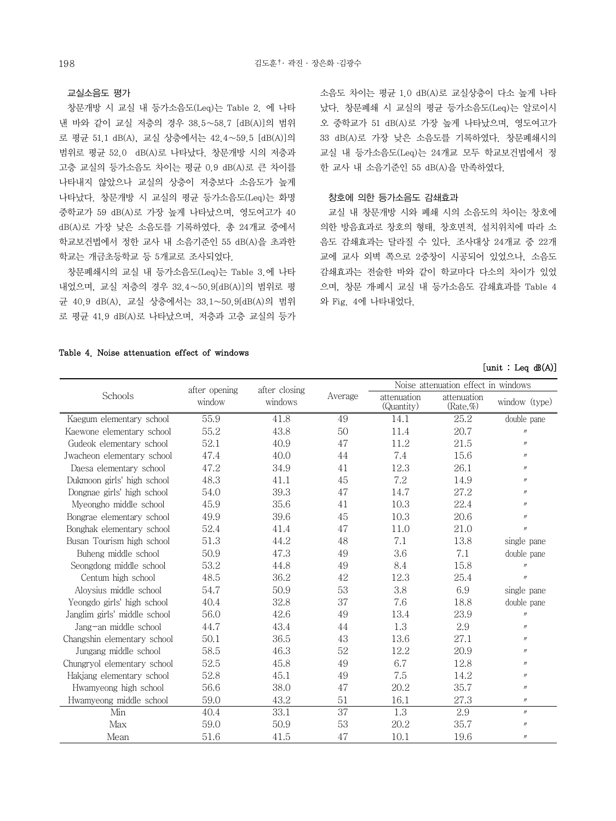#### 교실소음도 평가

 창문개방 시 교실 내 등가소음도(Leq)는 Table 2. 에 나타 낸 바와 같이 교실 저층의 경우 38.5∼58.7 [dB(A)]의 범위 로 평균 51.1 dB(A), 교실 상층에서는 42.4∼59.5 [dB(A)]의 범위로 평균 52.0 dB(A)로 나타났다. 창문개방 시의 저층과 고층 교실의 등가소음도 차이는 평균 0.9 dB(A)로 큰 차이를 나타내지 않았으나 교실의 상층이 저층보다 소음도가 높게 나타났다. 창문개방 시 교실의 평균 등가소음도(Leq)는 화명 중학교가 59 dB(A)로 가장 높게 나타났으며, 영도여고가 40 dB(A)로 가장 낮은 소음도를 기록하였다. 총 24개교 중에서 학교보건법에서 정한 교사 내 소음기준인 55 dB(A)을 초과한 학교는 개금초등학교 등 5개교로 조사되었다.

 창문폐쇄시의 교실 내 등가소음도(Leq)는 Table 3.에 나타 내었으며, 교실 저층의 경우 32.4∼50.9[dB(A)]의 범위로 평 균 40.9 dB(A), 교실 상층에서는 33.1∼50.9[dB(A)의 범위 로 평균 41.9 dB(A)로 나타났으며, 저층과 고층 교실의 등가 소음도 차이는 평균 1.0 dB(A)로 교실상층이 다소 높게 나타 났다. 창문폐쇄 시 교실의 평균 등가소음도(Leq)는 알로이시 오 중학교가 51 dB(A)로 가장 높게 나타났으며, 영도여고가 33 dB(A)로 가장 낮은 소음도를 기록하였다. 창문폐쇄시의 교실 내 등가소음도(Leq)는 24개교 모두 학교보건법에서 정 한 교사 내 소음기준인 55 dB(A)을 만족하였다.

## 창호에 의한 등가소음도 감쇄효과

 교실 내 창문개방 시와 폐쇄 시의 소음도의 차이는 창호에 의한 방음효과로 창호의 형태, 창호면적, 설치위치에 따라 소 음도 감쇄효과는 달라질 수 있다. 조사대상 24개교 중 22개 교에 교사 외벽 쪽으로 2중창이 시공되어 있었으나, 소음도 감쇄효과는 전술한 바와 같이 학교마다 다소의 차이가 있었 으며, 창문 개․폐시 교실 내 등가소음도 감쇄효과를 Table 4 와 Fig. 4에 나타내었다.

#### Table 4. Noise attenuation effect of windows

## $[unit : Leg dB(A)]$

|                              | after opening | after closing |         |                           | Noise attenuation effect in windows |                   |
|------------------------------|---------------|---------------|---------|---------------------------|-------------------------------------|-------------------|
| Schools                      | window        | windows       | Average | attenuation<br>(Quantity) | attenuation<br>(Rate, %             | window (type)     |
| Kaegum elementary school     | 55.9          | 41.8          | 49      | 14.1                      | 25.2                                | double pane       |
| Kaewone elementary school    | 55.2          | 43.8          | 50      | 11.4                      | 20.7                                | $^{\prime\prime}$ |
| Gudeok elementary school     | 52.1          | 40.9          | 47      | 11.2                      | 21.5                                | $\prime\prime$    |
| Jwacheon elementary school   | 47.4          | 40.0          | 44      | 7.4                       | 15.6                                | $^{\prime\prime}$ |
| Daesa elementary school      | 47.2          | 34.9          | 41      | 12.3                      | 26.1                                | $^{\prime\prime}$ |
| Dukmoon girls' high school   | 48.3          | 41.1          | 45      | 7.2                       | 14.9                                | $^{\prime\prime}$ |
| Dongnae girls' high school   | 54.0          | 39.3          | 47      | 14.7                      | 27.2                                | $^{\prime\prime}$ |
| Myeongho middle school       | 45.9          | 35.6          | 41      | 10.3                      | 22.4                                | $^{\prime\prime}$ |
| Bongrae elementary school    | 49.9          | 39.6          | 45      | 10.3                      | 20.6                                | $^{\prime\prime}$ |
| Bonghak elementary school    | 52.4          | 41.4          | 47      | 11.0                      | 21.0                                | $^{\prime\prime}$ |
| Busan Tourism high school    | 51.3          | 44.2          | 48      | 7.1                       | 13.8                                | single pane       |
| Buheng middle school         | 50.9          | 47.3          | 49      | 3.6                       | 7.1                                 | double pane       |
| Seongdong middle school      | 53.2          | 44.8          | 49      | 8.4                       | 15.8                                | $\prime\prime$    |
| Centum high school           | 48.5          | 36.2          | 42      | 12.3                      | 25.4                                | $^{\prime\prime}$ |
| Aloysius middle school       | 54.7          | 50.9          | 53      | 3.8                       | 6.9                                 | single pane       |
| Yeongdo girls' high school   | 40.4          | 32.8          | 37      | 7.6                       | 18.8                                | double pane       |
| Janglim girls' middle school | 56.0          | 42.6          | 49      | 13.4                      | 23.9                                | $\prime\prime$    |
| Jang-an middle school        | 44.7          | 43.4          | 44      | 1.3                       | 2.9                                 | $\prime\prime$    |
| Changshin elementary school  | 50.1          | 36.5          | 43      | 13.6                      | 27.1                                | $\prime\prime$    |
| Jungang middle school        | 58.5          | 46.3          | 52      | 12.2                      | 20.9                                | $^{\prime\prime}$ |
| Chungryol elementary school  | 52.5          | 45.8          | 49      | 6.7                       | 12.8                                | $^{\prime\prime}$ |
| Hakjang elementary school    | 52.8          | 45.1          | 49      | 7.5                       | 14.2                                | $\prime\prime$    |
| Hwamyeong high school        | 56.6          | 38.0          | 47      | 20.2                      | 35.7                                | $\prime\prime$    |
| Hwamyeong middle school      | 59.0          | 43.2          | 51      | 16.1                      | 27.3                                | $\prime\prime$    |
| Min                          | 40.4          | 33.1          | 37      | 1.3                       | 2.9                                 | $\prime\prime$    |
| Max                          | 59.0          | 50.9          | 53      | 20.2                      | 35.7                                | $\prime\prime$    |
| Mean                         | 51.6          | 41.5          | 47      | 10.1                      | 19.6                                | $^{\prime\prime}$ |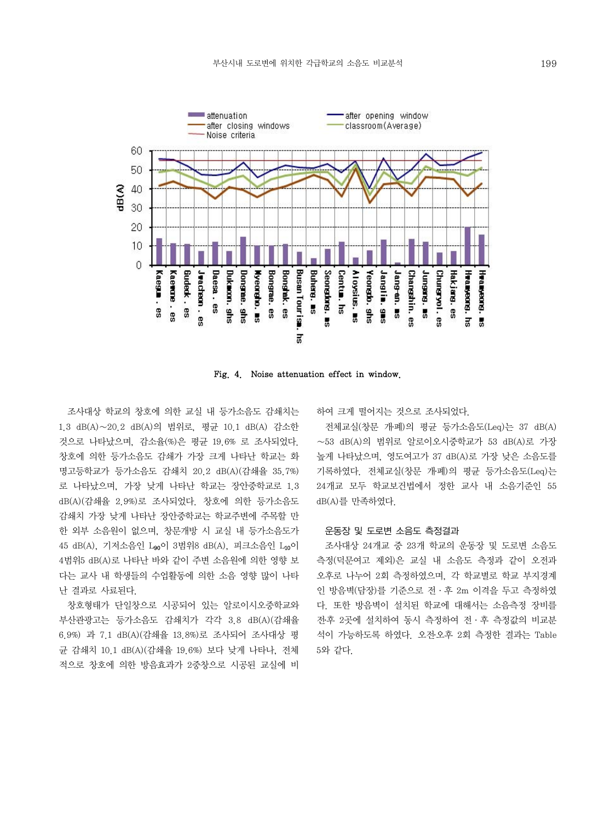

Fig. 4. Noise attenuation effect in window.

조사대상 학교의 창호에 의한 교실 내 등가소음도 감쇄치는 1.3 dB(A)∼20.2 dB(A)의 범위로, 평균 10.1 dB(A) 감소한 것으로 나타났으며, 감소율(%)은 평균 19.6% 로 조사되었다. 창호에 의한 등가소음도 감쇄가 가장 크게 나타난 학교는 화 명고등학교가 등가소음도 감쇄치 20.2 dB(A)(감쇄율 35.7%) 로 나타났으며, 가장 낮게 나타난 학교는 장안중학교로 1.3 dB(A)(감쇄율 2.9%)로 조사되었다. 창호에 의한 등가소음도 감쇄치 가장 낮게 나타난 장안중학교는 학교주변에 주목할 만 한 외부 소음원이 없으며, 창문개방 시 교실 내 등가소음도가 45 dB(A), 기저소음인 L90이 3범위8 dB(A), 피크소음인 L10이 4범위5 dB(A)로 나타난 바와 같이 주변 소음원에 의한 영향 보 다는 교사 내 학생들의 수업활동에 의한 소음 영향 많이 나타 난 결과로 사료된다.

 창호형태가 단일창으로 시공되어 있는 알로이시오중학교와 부산관광고는 등가소음도 감쇄치가 각각 3.8 dB(A)(감쇄율 6.9%) 과 7.1 dB(A)(감쇄율 13.8%)로 조사되어 조사대상 평 균 감쇄치 10.1 dB(A)(감쇄율 19.6%) 보다 낮게 나타나, 전체 적으로 창호에 의한 방음효과가 2중창으로 시공된 교실에 비

하여 크게 떨어지는 것으로 조사되었다.

 전체교실(창문 개․폐)의 평균 등가소음도(Leq)는 37 dB(A) ∼53 dB(A)의 범위로 알로이오시중학교가 53 dB(A)로 가장 높게 나타났으며, 영도여고가 37 dB(A)로 가장 낮은 소음도를 기록하였다. 전체교실(창문 개․폐)의 평균 등가소음도(Leq)는 24개교 모두 학교보건법에서 정한 교사 내 소음기준인 55 dB(A)를 만족하였다.

#### 운동장 및 도로변 소음도 측정결과

조사대상 24개교 중 23개 학교의 운동장 및 도로변 소음도 측정(덕문여고 제외)은 교실 내 소음도 측정과 같이 오전과 오후로 나누어 2회 측정하였으며, 각 학교별로 학교 부지경계 인 방음벽(담장)를 기준으로 전·후 2m 이격을 두고 측정하였 다. 또한 방음벽이 설치된 학교에 대해서는 소음측정 장비를 전․후 2곳에 설치하여 동시 측정하여 전·후 측정값의 비교분 석이 가능하도록 하였다. 오전․오후 2회 측정한 결과는 Table 5와 같다.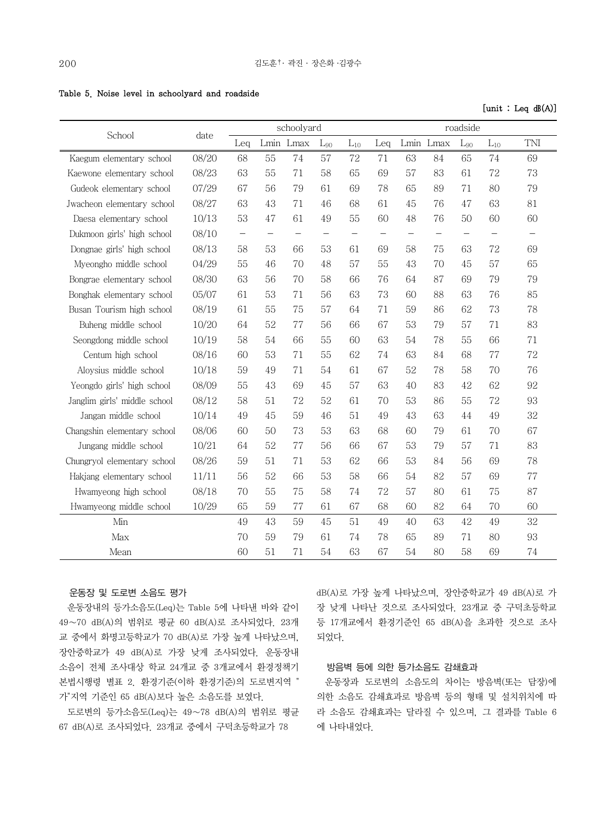|  |  |  |  |  | Table 5. Noise level in schoolyard and roadside |  |  |
|--|--|--|--|--|-------------------------------------------------|--|--|
|--|--|--|--|--|-------------------------------------------------|--|--|

 $[unit : Leg dB(A)]$ 

| School                       | date  | schoolyard        |                   |           |                   |                   | roadside |                   |           |                   |                   |                   |
|------------------------------|-------|-------------------|-------------------|-----------|-------------------|-------------------|----------|-------------------|-----------|-------------------|-------------------|-------------------|
|                              |       | Leg               |                   | Lmin Lmax | $L_{90}$          | $L_{10}$          | Leq      |                   | Lmin Lmax | $L_{90}$          | $L_{10}$          | TNI               |
| Kaegum elementary school     | 08/20 | 68                | 55                | 74        | 57                | 72                | 71       | 63                | 84        | 65                | 74                | 69                |
| Kaewone elementary school    | 08/23 | 63                | 55                | 71        | 58                | 65                | 69       | 57                | 83        | 61                | 72                | 73                |
| Gudeok elementary school     | 07/29 | 67                | 56                | 79        | 61                | 69                | 78       | 65                | 89        | 71                | 80                | 79                |
| Jwacheon elementary school   | 08/27 | 63                | 43                | 71        | 46                | 68                | 61       | 45                | 76        | 47                | 63                | 81                |
| Daesa elementary school      | 10/13 | 53                | 47                | 61        | 49                | 55                | 60       | 48                | 76        | 50                | 60                | 60                |
| Dukmoon girls' high school   | 08/10 | $\qquad \qquad -$ | $\qquad \qquad -$ |           | $\qquad \qquad -$ | $\qquad \qquad -$ |          | $\qquad \qquad -$ |           | $\qquad \qquad -$ | $\qquad \qquad -$ | $\qquad \qquad -$ |
| Dongnae girls' high school   | 08/13 | 58                | 53                | 66        | 53                | 61                | 69       | 58                | 75        | 63                | 72                | 69                |
| Myeongho middle school       | 04/29 | 55                | 46                | 70        | 48                | 57                | 55       | 43                | 70        | 45                | 57                | 65                |
| Bongrae elementary school    | 08/30 | 63                | 56                | 70        | 58                | 66                | 76       | 64                | 87        | 69                | 79                | 79                |
| Bonghak elementary school    | 05/07 | 61                | 53                | 71        | 56                | 63                | 73       | 60                | 88        | 63                | 76                | 85                |
| Busan Tourism high school    | 08/19 | 61                | 55                | 75        | 57                | 64                | 71       | 59                | 86        | 62                | 73                | 78                |
| Buheng middle school         | 10/20 | 64                | 52                | 77        | 56                | 66                | 67       | 53                | 79        | 57                | 71                | 83                |
| Seongdong middle school      | 10/19 | 58                | 54                | 66        | 55                | 60                | 63       | 54                | 78        | 55                | 66                | 71                |
| Centum high school           | 08/16 | 60                | 53                | 71        | 55                | 62                | 74       | 63                | 84        | 68                | 77                | 72                |
| Aloysius middle school       | 10/18 | 59                | 49                | 71        | 54                | 61                | 67       | 52                | 78        | 58                | 70                | 76                |
| Yeongdo girls' high school   | 08/09 | 55                | 43                | 69        | 45                | 57                | 63       | 40                | 83        | 42                | 62                | 92                |
| Janglim girls' middle school | 08/12 | 58                | 51                | 72        | 52                | 61                | 70       | 53                | 86        | 55                | 72                | 93                |
| Jangan middle school         | 10/14 | 49                | 45                | 59        | 46                | 51                | 49       | 43                | 63        | 44                | 49                | 32                |
| Changshin elementary school  | 08/06 | 60                | 50                | 73        | 53                | 63                | 68       | 60                | 79        | 61                | 70                | 67                |
| Jungang middle school        | 10/21 | 64                | 52                | 77        | 56                | 66                | 67       | 53                | 79        | 57                | 71                | 83                |
| Chungryol elementary school  | 08/26 | 59                | 51                | 71        | 53                | 62                | 66       | 53                | 84        | 56                | 69                | 78                |
| Hakjang elementary school    | 11/11 | 56                | 52                | 66        | 53                | 58                | 66       | 54                | 82        | 57                | 69                | 77                |
| Hwamyeong high school        | 08/18 | 70                | 55                | 75        | 58                | 74                | 72       | 57                | 80        | 61                | 75                | 87                |
| Hwamyeong middle school      | 10/29 | 65                | 59                | 77        | 61                | 67                | 68       | 60                | 82        | 64                | 70                | 60                |
| Min                          |       | 49                | 43                | 59        | 45                | 51                | 49       | 40                | 63        | 42                | 49                | 32                |
| Max                          |       | 70                | 59                | 79        | 61                | 74                | 78       | 65                | 89        | 71                | 80                | 93                |
| Mean                         |       | 60                | 51                | 71        | 54                | 63                | 67       | 54                | 80        | 58                | 69                | 74                |

## 운동장 및 도로변 소음도 평가

 운동장내의 등가소음도(Leq)는 Table 5에 나타낸 바와 같이 49∼70 dB(A)의 범위로 평균 60 dB(A)로 조사되었다. 23개 교 중에서 화명고등학교가 70 dB(A)로 가장 높게 나타났으며, 장안중학교가 49 dB(A)로 가장 낮게 조사되었다. 운동장내 소음이 전체 조사대상 학교 24개교 중 3개교에서 환경정책기 본법시행령 별표 2. 환경기준(이하 환경기준)의 도로변지역 " 가"지역 기준인 65 dB(A)보다 높은 소음도를 보였다.

 도로변의 등가소음도(Leq)는 49∼78 dB(A)의 범위로 평균 67 dB(A)로 조사되었다. 23개교 중에서 구덕초등학교가 78

dB(A)로 가장 높게 나타났으며, 장안중학교가 49 dB(A)로 가 장 낮게 나타난 것으로 조사되었다. 23개교 중 구덕초등학교 등 17개교에서 환경기준인 65 dB(A)을 초과한 것으로 조사 되었다.

#### 방음벽 등에 의한 등가소음도 감쇄효과

 운동장과 도로변의 소음도의 차이는 방음벽(또는 담장)에 의한 소음도 감쇄효과로 방음벽 등의 형태 및 설치위치에 따 라 소음도 감쇄효과는 달라질 수 있으며, 그 결과를 Table 6 에 나타내었다.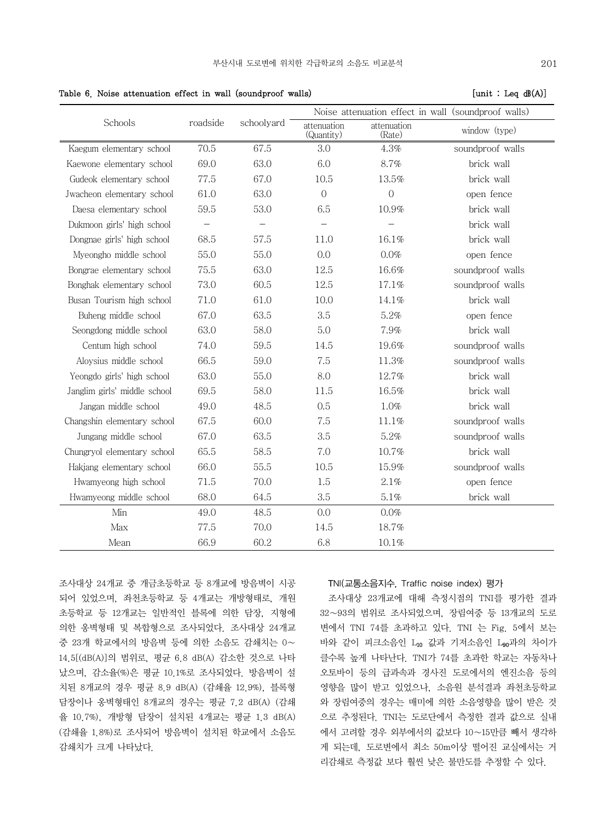|                              |          |            |                           |                       | Noise attenuation effect in wall (soundproof walls) |
|------------------------------|----------|------------|---------------------------|-----------------------|-----------------------------------------------------|
| Schools                      | roadside | schoolyard | attenuation<br>(Quantity) | attenuation<br>(Rate) | window (type)                                       |
| Kaegum elementary school     | 70.5     | 67.5       | 3.0                       | 4.3%                  | soundproof walls                                    |
| Kaewone elementary school    | 69.0     | 63.0       | 6.0                       | 8.7%                  | brick wall                                          |
| Gudeok elementary school     | 77.5     | 67.0       | 10.5                      | 13.5%                 | brick wall                                          |
| Jwacheon elementary school   | 61.0     | 63.0       | $\overline{0}$            | $\mathcal{O}$         | open fence                                          |
| Daesa elementary school      | 59.5     | 53.0       | 6.5                       | 10.9%                 | brick wall                                          |
| Dukmoon girls' high school   |          |            |                           |                       | brick wall                                          |
| Dongnae girls' high school   | 68.5     | 57.5       | 11.0                      | 16.1%                 | brick wall                                          |
| Myeongho middle school       | 55.0     | 55.0       | 0.0                       | 0.0%                  | open fence                                          |
| Bongrae elementary school    | 75.5     | 63.0       | 12.5                      | 16.6%                 | soundproof walls                                    |
| Bonghak elementary school    | 73.0     | 60.5       | 12.5                      | 17.1%                 | soundproof walls                                    |
| Busan Tourism high school    | 71.0     | 61.0       | 10.0                      | 14.1%                 | brick wall                                          |
| Buheng middle school         | 67.0     | 63.5       | 3.5                       | 5.2%                  | open fence                                          |
| Seongdong middle school      | 63.0     | 58.0       | 5.0                       | 7.9%                  | brick wall                                          |
| Centum high school           | 74.0     | 59.5       | 14.5                      | 19.6%                 | soundproof walls                                    |
| Aloysius middle school       | 66.5     | 59.0       | 7.5                       | 11.3%                 | soundproof walls                                    |
| Yeongdo girls' high school   | 63.0     | 55.0       | 8.0                       | 12.7%                 | brick wall                                          |
| Janglim girls' middle school | 69.5     | 58.0       | 11.5                      | 16.5%                 | brick wall                                          |
| Jangan middle school         | 49.0     | 48.5       | 0.5                       | 1.0%                  | brick wall                                          |
| Changshin elementary school  | 67.5     | 60.0       | 7.5                       | 11.1%                 | soundproof walls                                    |
| Jungang middle school        | 67.0     | 63.5       | 3.5                       | 5.2%                  | soundproof walls                                    |
| Chungryol elementary school  | 65.5     | 58.5       | 7.0                       | 10.7%                 | brick wall                                          |
| Hakjang elementary school    | 66.0     | 55.5       | 10.5                      | 15.9%                 | soundproof walls                                    |
| Hwamyeong high school        | 71.5     | 70.0       | 1.5                       | 2.1%                  | open fence                                          |
| Hwamyeong middle school      | 68.0     | 64.5       | 3.5                       | $5.1\%$               | brick wall                                          |
| Min                          | 49.0     | 48.5       | 0.0                       | 0.0%                  |                                                     |
| Max                          | 77.5     | 70.0       | 14.5                      | 18.7%                 |                                                     |
| Mean                         | 66.9     | 60.2       | 6.8                       | 10.1%                 |                                                     |

Table 6. Noise attenuation effect in wall (soundproof walls)  $\qquad \qquad$  [unit : Leq  $\mathbf{d}(\mathbf{A})$ ]

조사대상 24개교 중 개금초등학교 등 8개교에 방음벽이 시공 되어 있었으며, 좌천초등학교 등 4개교는 개방형태로, 개원 초등학교 등 12개교는 일반적인 블록에 의한 담장, 지형에 의한 옹벽형태 및 복합형으로 조사되었다. 조사대상 24개교 중 23개 학교에서의 방음벽 등에 의한 소음도 감쇄치는 0∼ 14.5[(dB(A)]의 범위로, 평균 6.8 dB(A) 감소한 것으로 나타 났으며, 감소율(%)은 평균 10.1%로 조사되었다. 방음벽이 설 치된 8개교의 경우 평균 8.9 dB(A) (감쇄율 12.9%), 블록형 담장이나 옹벽형태인 8개교의 경우는 평균 7.2 dB(A) (감쇄 율 10.7%), 개방형 담장이 설치된 4개교는 평균 1.3 dB(A) (감쇄율 1.8%)로 조사되어 방음벽이 설치된 학교에서 소음도 감쇄치가 크게 나타났다.

## TNI(교통소음지수, Traffic noise index) 평가

 조사대상 23개교에 대해 측정시점의 TNI를 평가한 결과 32∼93의 범위로 조사되었으며, 장림여중 등 13개교의 도로 변에서 TNI 74를 초과하고 있다. TNI 는 Fig. 5에서 보는 바와 같이 피크소음인 L10 값과 기저소음인 L90과의 차이가 클수록 높게 나타난다. TNI가 74를 초과한 학교는 자동차나 오토바이 등의 급과속과 경사진 도로에서의 엔진소음 등의 영향을 많이 받고 있었으나, 소음원 분석결과 좌천초등학교 와 장림여중의 경우는 매미에 의한 소음영향을 많이 받은 것 으로 추정된다. TNI는 도로단에서 측정한 결과 값으로 실내 에서 고려할 경우 외부에서의 값보다 10∼15만큼 빼서 생각하 게 되는데, 도로변에서 최소 50m이상 떨어진 교실에서는 거 리감쇄로 측정값 보다 훨씬 낮은 불만도를 추정할 수 있다.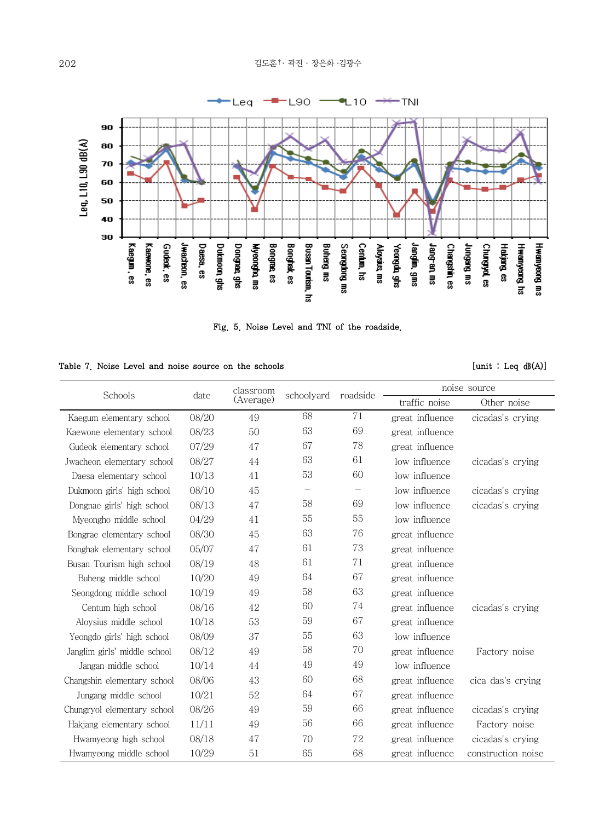

Fig. 5. Noise Level and TNI of the roadside.

| Table 7. Noise Level and noise source on the schools |  |  |  |  |  |  |
|------------------------------------------------------|--|--|--|--|--|--|
|------------------------------------------------------|--|--|--|--|--|--|

 $[unit : Leg dB(A)]$ 

| Schools                      | date  | classroom<br>schoolyard |                   | roadside          | noise source    |                    |  |  |
|------------------------------|-------|-------------------------|-------------------|-------------------|-----------------|--------------------|--|--|
|                              |       | (Average)               |                   |                   | traffic noise   | Other noise        |  |  |
| Kaegum elementary school     | 08/20 | 49                      | 68                | 71                | great influence | cicadas's crying   |  |  |
| Kaewone elementary school    | 08/23 | 50                      | 63                | 69                | great influence |                    |  |  |
| Gudeok elementary school     | 07/29 | 47                      | 67                | 78                | great influence |                    |  |  |
| Jwacheon elementary school   | 08/27 | 44                      | 63                | 61                | low influence   | cicadas's crying   |  |  |
| Daesa elementary school      | 10/13 | 41                      | 53                | 60                | low influence   |                    |  |  |
| Dukmoon girls' high school   | 08/10 | 45                      | $\qquad \qquad -$ | $\qquad \qquad -$ | low influence   | cicadas's crying   |  |  |
| Dongnae girls' high school   | 08/13 | 47                      | 58                | 69                | low influence   | cicadas's crying   |  |  |
| Myeongho middle school       | 04/29 | 41                      | 55                | 55                | low influence   |                    |  |  |
| Bongrae elementary school    | 08/30 | 45                      | 63                | 76                | great influence |                    |  |  |
| Bonghak elementary school    | 05/07 | 47                      | 61                | 73                | great influence |                    |  |  |
| Busan Tourism high school    | 08/19 | 48                      | 61                | 71                | great influence |                    |  |  |
| Buheng middle school         | 10/20 | 49                      | 64                | 67                | great influence |                    |  |  |
| Seongdong middle school      | 10/19 | 49                      | 58                | 63                | great influence |                    |  |  |
| Centum high school           | 08/16 | 42                      | 60                | 74                | great influence | cicadas's crying   |  |  |
| Aloysius middle school       | 10/18 | 53                      | 59                | 67                | great influence |                    |  |  |
| Yeongdo girls' high school   | 08/09 | 37                      | 55                | 63                | low influence   |                    |  |  |
| Janglim girls' middle school | 08/12 | 49                      | 58                | 70                | great influence | Factory noise      |  |  |
| Jangan middle school         | 10/14 | 44                      | 49                | 49                | low influence   |                    |  |  |
| Changshin elementary school  | 08/06 | 43                      | 60                | 68                | great influence | cica das's crying  |  |  |
| Jungang middle school        | 10/21 | 52                      | 64                | 67                | great influence |                    |  |  |
| Chungryol elementary school  | 08/26 | 49                      | 59                | 66                | great influence | cicadas's crying   |  |  |
| Hakjang elementary school    | 11/11 | 49                      | 56                | 66                | great influence | Factory noise      |  |  |
| Hwamyeong high school        | 08/18 | 47                      | 70                | 72                | great influence | cicadas's crying   |  |  |
| Hwamyeong middle school      | 10/29 | 51                      | 65                | 68                | great influence | construction noise |  |  |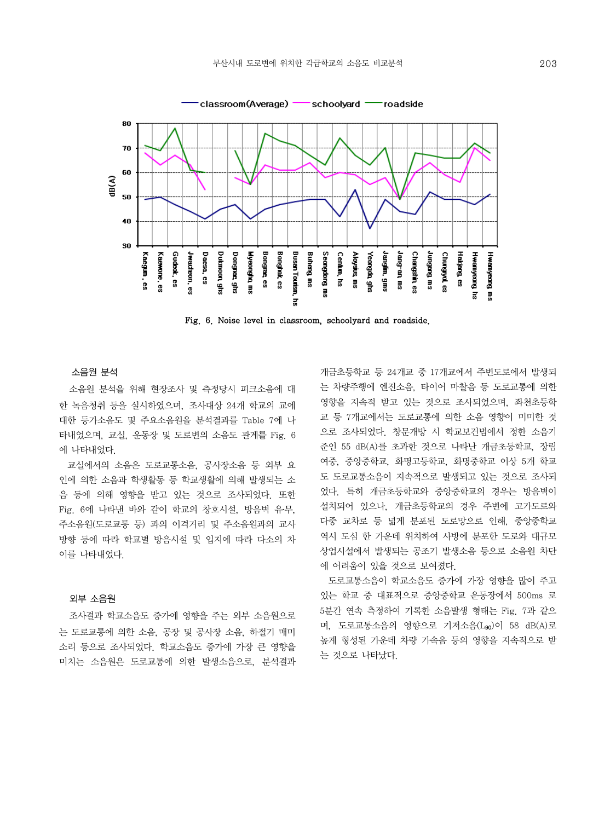

Fig. 6. Noise level in classroom, schoolyard and roadside.

소음원 분석

소음원 분석을 위해 현장조사 및 측정당시 피크소음에 대 한 녹음청취 등을 실시하였으며, 조사대상 24개 학교의 교에 대한 등가소음도 및 주요소음원을 분석결과를 Table 7에 나 타내었으며, 교실, 운동장 및 도로변의 소음도 관계를 Fig. 6 에 나타내었다.

 교실에서의 소음은 도로교통소음, 공사장소음 등 외부 요 인에 의한 소음과 학생활동 등 학교생활에 의해 발생되는 소 음 등에 의해 영향을 받고 있는 것으로 조사되었다. 또한 Fig. 6에 나타낸 바와 같이 학교의 창호시설, 방음벽 유무, 주소음원(도로교통 등) 과의 이격거리 및 주소음원과의 교사 방향 등에 따라 학교별 방음시설 및 입지에 따라 다소의 차 이를 나타내었다.

#### 외부 소음원

조사결과 학교소음도 증가에 영향을 주는 외부 소음원으로 는 도로교통에 의한 소음, 공장 및 공사장 소음, 하절기 매미 소리 등으로 조사되었다. 학교소음도 증가에 가장 큰 영향을 미치는 소음원은 도로교통에 의한 발생소음으로, 분석결과 개금초등학교 등 24개교 중 17개교에서 주변도로에서 발생되 는 차량주행에 엔진소음, 타이어 마찰음 등 도로교통에 의한 영향을 지속적 받고 있는 것으로 조사되었으며, 좌천초등학 교 등 7개교에서는 도로교통에 의한 소음 영향이 미미한 것 으로 조사되었다. 창문개방 시 학교보건법에서 정한 소음기 준인 55 dB(A)를 초과한 것으로 나타난 개금초등학교, 장림 여중, 중앙중학교, 화명고등학교, 화명중학교 이상 5개 학교 도 도로교통소음이 지속적으로 발생되고 있는 것으로 조사되 었다. 특히 개금초등학교와 중앙중학교의 경우는 방음벽이 설치되어 있으나, 개금초등학교의 경우 주변에 고가도로와 다중 교차로 등 넓게 분포된 도로망으로 인해, 중앙중학교 역시 도심 한 가운데 위치하여 사방에 분포한 도로와 대규모 상업시설에서 발생되는 공조기 발생소음 등으로 소음원 차단 에 어려움이 있을 것으로 보여졌다.

 도로교통소음이 학교소음도 증가에 가장 영향을 많이 주고 있는 학교 중 대표적으로 중앙중학교 운동장에서 500ms 로 5분간 연속 측정하여 기록한 소음발생 형태는 Fig. 7과 같으 며, 도로교통소음의 영향으로 기저소음(Lgo)이 58 dB(A)로 높게 형성된 가운데 차량 가속음 등의 영향을 지속적으로 받 는 것으로 나타났다.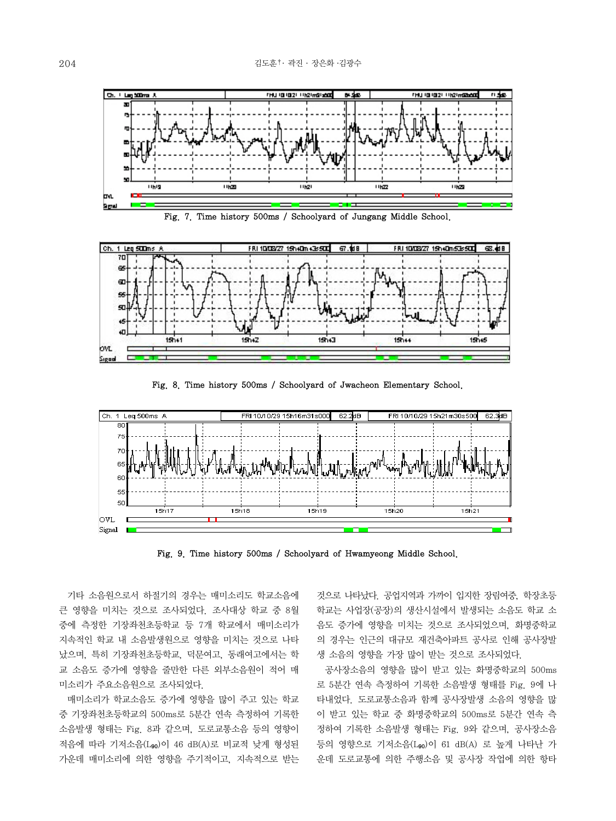





Fig. 8. Time history 500ms / Schoolyard of Jwacheon Elementary School.



Fig. 9. Time history 500ms / Schoolyard of Hwamyeong Middle School.

 기타 소음원으로서 하절기의 경우는 매미소리도 학교소음에 큰 영향을 미치는 것으로 조사되었다. 조사대상 학교 중 8월 중에 측정한 기장좌천초등학교 등 7개 학교에서 매미소리가 지속적인 학교 내 소음발생원으로 영향을 미치는 것으로 나타 났으며, 특히 기장좌천초등학교, 덕문여고, 동래여고에서는 학 교 소음도 증가에 영향을 줄만한 다른 외부소음원이 적어 매 미소리가 주요소음원으로 조사되었다.

 매미소리가 학교소음도 증가에 영향을 많이 주고 있는 학교 중 기장좌천초등학교의 500ms로 5분간 연속 측정하여 기록한 소음발생 형태는 Fig. 8과 같으며, 도로교통소음 등의 영향이 적음에 따라 기저소음(L90)이 46 dB(A)로 비교적 낮게 형성된 가운데 매미소리에 의한 영향을 주기적이고, 지속적으로 받는 것으로 나타났다. 공업지역과 가까이 입지한 장림여중, 학장초등 학교는 사업장(공장)의 생산시설에서 발생되는 소음도 학교 소 음도 증가에 영향을 미치는 것으로 조사되었으며, 화명중학교 의 경우는 인근의 대규모 재건축아파트 공사로 인해 공사장발 생 소음의 영향을 가장 많이 받는 것으로 조사되었다.

 공사장소음의 영향을 많이 받고 있는 화명중학교의 500ms 로 5분간 연속 측정하여 기록한 소음발생 형태를 Fig. 9에 나 타내었다. 도로교통소음과 함께 공사장발생 소음의 영향을 많 이 받고 있는 학교 중 화명중학교의 500ms로 5분간 연속 측 정하여 기록한 소음발생 형태는 Fig. 9와 같으며, 공사장소음 등의 영향으로 기저소음(L90)이 61 dB(A) 로 높게 나타난 가 운데 도로교통에 의한 주행소음 및 공사장 작업에 의한 항타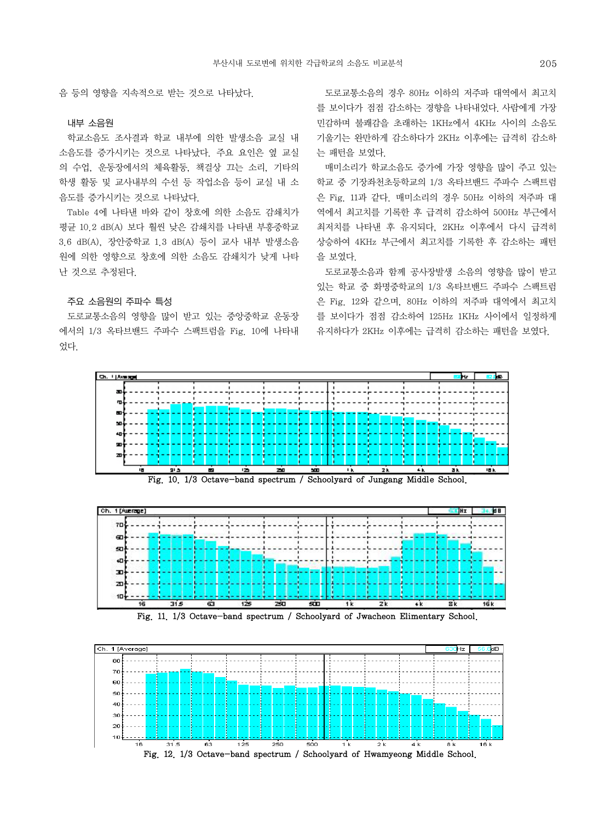음 등의 영향을 지속적으로 받는 것으로 나타났다.

## 내부 소음원

학교소음도 조사결과 학교 내부에 의한 발생소음 교실 내 소음도를 증가시키는 것으로 나타났다. 주요 요인은 옆 교실 의 수업, 운동장에서의 체육활동, 책걸상 끄는 소리, 기타의 학생 활동 및 교사내부의 수선 등 작업소음 등이 교실 내 소 음도를 증가시키는 것으로 나타났다.

 Table 4에 나타낸 바와 같이 창호에 의한 소음도 감쇄치가 평균 10.2 dB(A) 보다 훨씬 낮은 감쇄치를 나타낸 부흥중학교 3.6 dB(A), 장안중학교 1.3 dB(A) 등이 교사 내부 발생소음 원에 의한 영향으로 창호에 의한 소음도 감쇄치가 낮게 나타 난 것으로 추정된다.

## 주요 소음원의 주파수 특성

도로교통소음의 영향을 많이 받고 있는 중앙중학교 운동장 에서의 1/3 옥타브밴드 주파수 스팩트럼을 Fig. 10에 나타내 었다.

 도로교통소음의 경우 80Hz 이하의 저주파 대역에서 최고치 를 보이다가 점점 감소하는 경향을 나타내었다. 사람에게 가장 민감하며 불쾌감을 초래하는 1KHz에서 4KHz 사이의 소음도 기울기는 완만하게 감소하다가 2KHz 이후에는 급격히 감소하 는 패턴을 보였다.

 매미소리가 학교소음도 증가에 가장 영향을 많이 주고 있는 학교 중 기장좌천초등학교의 1/3 옥타브밴드 주파수 스팩트럼 은 Fig. 11과 같다. 매미소리의 경우 50Hz 이하의 저주파 대 역에서 최고치를 기록한 후 급격히 감소하여 500Hz 부근에서 최저치를 나타낸 후 유지되다, 2KHz 이후에서 다시 급격히 상승하여 4KHz 부근에서 최고치를 기록한 후 감소하는 패턴 을 보였다.

 도로교통소음과 함께 공사장발생 소음의 영향을 많이 받고 있는 학교 중 화명중학교의 1/3 옥타브밴드 주파수 스팩트럼 은 Fig. 12와 같으며, 80Hz 이하의 저주파 대역에서 최고치 를 보이다가 점점 감소하여 125Hz 1KHz 사이에서 일정하게 유지하다가 2KHz 이후에는 급격히 감소하는 패턴을 보였다.









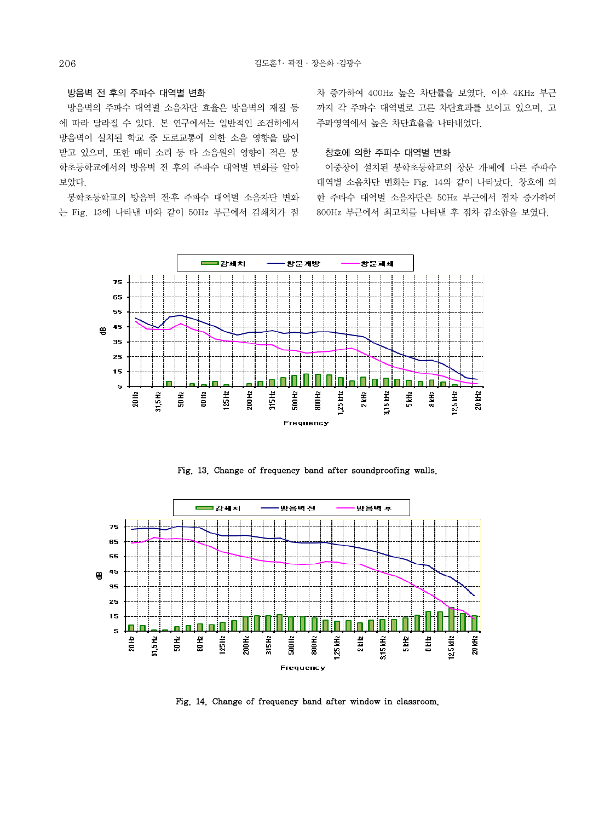## 방음벽 전 후의 주파수 대역별 변화

방음벽의 주파수 대역별 소음차단 효율은 방음벽의 재질 등 에 따라 달라질 수 있다. 본 연구에서는 일반적인 조건하에서 방음벽이 설치된 학교 중 도로교통에 의한 소음 영향을 많이 받고 있으며, 또한 매미 소리 등 타 소음원의 영향이 적은 봉 학초등학교에서의 방음벽 전 후의 주파수 대역별 변화를 알아 보았다.

 봉학초등학교의 방음벽 전․후 주파수 대역별 소음차단 변화 는 Fig. 13에 나타낸 바와 같이 50Hz 부근에서 감쇄치가 점

차 증가하여 400Hz 높은 차단률을 보였다. 이후 4KHz 부근 까지 각 주파수 대역별로 고른 차단효과를 보이고 있으며, 고 주파영역에서 높은 차단효율을 나타내었다.

## 창호에 의한 주파수 대역별 변화

이중창이 설치된 봉학초등학교의 창문 개․폐에 다른 주파수 대역별 소음차단 변화는 Fig. 14와 같이 나타났다. 창호에 의 한 주타수 대역별 소음차단은 50Hz 부근에서 점차 증가하여 800Hz 부근에서 최고치를 나타낸 후 점차 감소함을 보였다.



Fig. 13. Change of frequency band after soundproofing walls.



Fig. 14. Change of frequency band after window in classroom.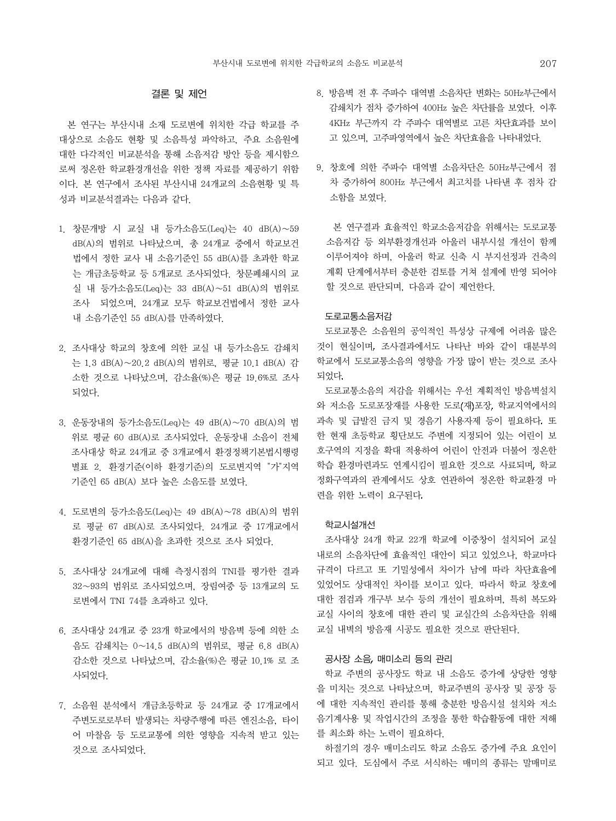# 결론 및 제언

본 연구는 부산시내 소재 도로변에 위치한 각급 학교를 주 대상으로 소음도 현황 및 소음특성 파악하고, 주요 소음원에 대한 다각적인 비교분석을 통해 소음저감 방안 등을 제시함으 로써 정온한 학교환경개선을 위한 정책 자료를 제공하기 위함 이다. 본 연구에서 조사된 부산시내 24개교의 소음현황 및 특 성과 비교분석결과는 다음과 같다.

- 1. 창문개방 시 교실 내 등가소음도(Leq)는 40 dB(A)∼59 dB(A)의 범위로 나타났으며, 총 24개교 중에서 학교보건 법에서 정한 교사 내 소음기준인 55 dB(A)를 초과한 학교 는 개금초등학교 등 5개교로 조사되었다. 창문폐쇄시의 교 실 내 등가소음도(Leq)는 33 dB(A)∼51 dB(A)의 범위로 조사 되었으며, 24개교 모두 학교보건법에서 정한 교사 내 소음기준인 55 dB(A)를 만족하였다.
- 2. 조사대상 학교의 창호에 의한 교실 내 등가소음도 감쇄치 는 1.3 dB(A)∼20.2 dB(A)의 범위로, 평균 10.1 dB(A) 감 소한 것으로 나타났으며, 감소율(%)은 평균 19.6%로 조사 되었다.
- 3. 운동장내의 등가소음도(Leq)는 49 dB(A)∼70 dB(A)의 범 위로 평균 60 dB(A)로 조사되었다. 운동장내 소음이 전체 조사대상 학교 24개교 중 3개교에서 환경정책기본법시행령 별표 2. 환경기준(이하 환경기준)의 도로변지역 "가"지역 기준인 65 dB(A) 보다 높은 소음도를 보였다.
- 4. 도로변의 등가소음도(Leq)는 49 dB(A)∼78 dB(A)의 범위 로 평균 67 dB(A)로 조사되었다. 24개교 중 17개교에서 환경기준인 65 dB(A)을 초과한 것으로 조사 되었다.
- 5. 조사대상 24개교에 대해 측정시점의 TNI를 평가한 결과 32∼93의 범위로 조사되었으며, 장림여중 등 13개교의 도 로변에서 TNI 74를 초과하고 있다.
- 6. 조사대상 24개교 중 23개 학교에서의 방음벽 등에 의한 소 음도 감쇄치는 0∼14.5 dB(A)의 범위로, 평균 6.8 dB(A) 감소한 것으로 나타났으며, 감소율(%)은 평균 10.1% 로 조 사되었다.
- 7. 소음원 분석에서 개금초등학교 등 24개교 중 17개교에서 주변도로로부터 발생되는 차량주행에 따른 엔진소음, 타이 어 마찰음 등 도로교통에 의한 영향을 지속적 받고 있는 것으로 조사되었다.
- 8. 방음벽 전 후 주파수 대역별 소음차단 변화는 50Hz부근에서 감쇄치가 점차 증가하여 400Hz 높은 차단률을 보였다. 이후 4KHz 부근까지 각 주파수 대역별로 고른 차단효과를 보이 고 있으며, 고주파영역에서 높은 차단효율을 나타내었다.
- 9. 창호에 의한 주파수 대역별 소음차단은 50Hz부근에서 점 차 증가하여 800Hz 부근에서 최고치를 나타낸 후 점차 감 소함을 보였다.

 본 연구결과 효율적인 학교소음저감을 위해서는 도로교통 소음저감 등 외부환경개선과 아울러 내부시설 개선이 함께 이루어져야 하며, 아울러 학교 신축 시 부지선정과 건축의 계획 단계에서부터 충분한 검토를 거쳐 설계에 반영 되어야 할 것으로 판단되며, 다음과 같이 제언한다.

#### 도로교통소음저감

도로교통은 소음원의 공익적인 특성상 규제에 어려움 많은 것이 현실이며 조사결과에서도 나타난 바와 같이 대분부의 학교에서 도로교통소음의 영향을 가장 많이 받는 것으로 조사 되었다

도로교통소음의 저감을 위해서는 우선 계획적인 방음벽설치 와 저소음 도로포장재를 사용한 도로(재)포장, 학교지역에서의 과속 및 급발진 금지 및 경음기 사용자제 등이 필요하다 또 한 현재 초등학교 횡단보도 주변에 지정되어 있는 어린이 보 호구역의 지정을 확대 적용하여 어린이 안전과 더불어 정온한 학습 환경마련과도 연계시킴이 필요한 것으로 사료되며 학교 정화구역과의 관계에서도 상호 연관하여 정온한 학교환경 마 련을 위한 노력이 요구된다

#### 학교시설개선

 조사대상 24개 학교 22개 학교에 이중창이 설치되어 교실 내로의 소음차단에 효율적인 대안이 되고 있었으나, 학교마다 규격이 다르고 또 기밀성에서 차이가 남에 따라 차단효율에 있었어도 상대적인 차이를 보이고 있다. 따라서 학교 창호에 대한 점검과 개구부 보수 등의 개선이 필요하며, 특히 복도와 교실 사이의 창호에 대한 관리 및 교실간의 소음차단을 위해 교실 내벽의 방음재 시공도 필요한 것으로 판단된다.

#### 공사장 소음 매미소리 등의 관리

학교 주변의 공사장도 학교 내 소음도 증가에 상당한 영향 을 미치는 것으로 나타났으며, 학교주변의 공사장 및 공장 등 에 대한 지속적인 관리를 통해 충분한 방음시설 설치와 저소 음기계사용 및 작업시간의 조정을 통한 학습활동에 대한 저해 를 최소화 하는 노력이 필요하다.

 하절기의 경우 매미소리도 학교 소음도 증가에 주요 요인이 되고 있다. 도심에서 주로 서식하는 매미의 종류는 말매미로